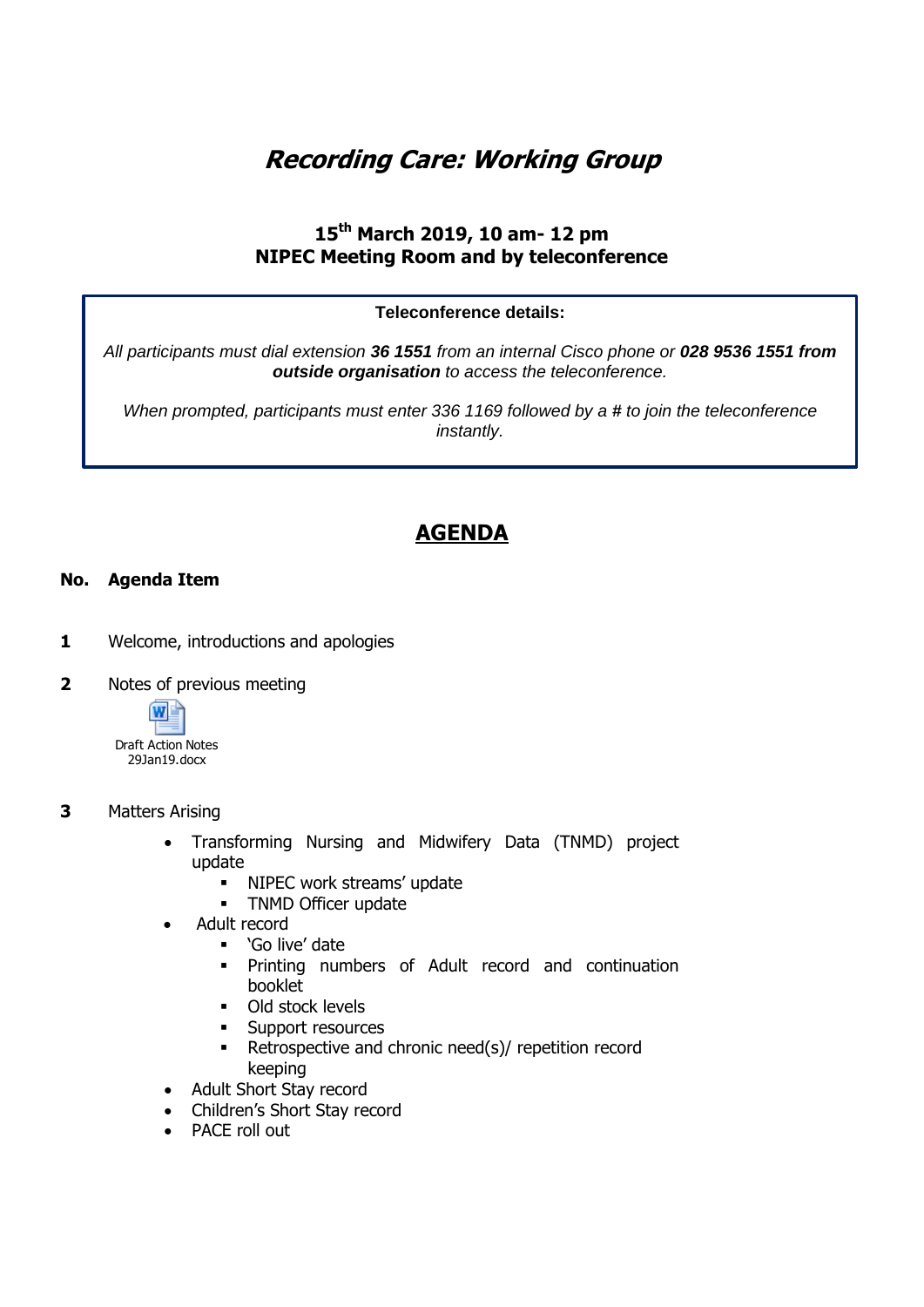# **Recording Care: Working Group**

### **15th March 2019, 10 am- 12 pm NIPEC Meeting Room and by teleconference**

### **Teleconference details:**

*All participants must dial extension 36 1551 from an internal Cisco phone or 028 9536 1551 from outside organisation to access the teleconference.* 

*When prompted, participants must enter 336 1169 followed by a # to join the teleconference instantly.*

## **AGENDA**

### **No. Agenda Item**

- **1** Welcome, introductions and apologies
- **2** Notes of previous meeting



### **3** Matters Arising

- Transforming Nursing and Midwifery Data (TNMD) project update
	- **NIPEC work streams' update**
	- **TNMD Officer update**
- Adult record
	- 'Go live' date
	- Printing numbers of Adult record and continuation booklet
	- **Old stock levels**
	- **Support resources**
	- **Retrospective and chronic need(s)/ repetition record** keeping
- Adult Short Stay record
- Children's Short Stay record
- PACE roll out